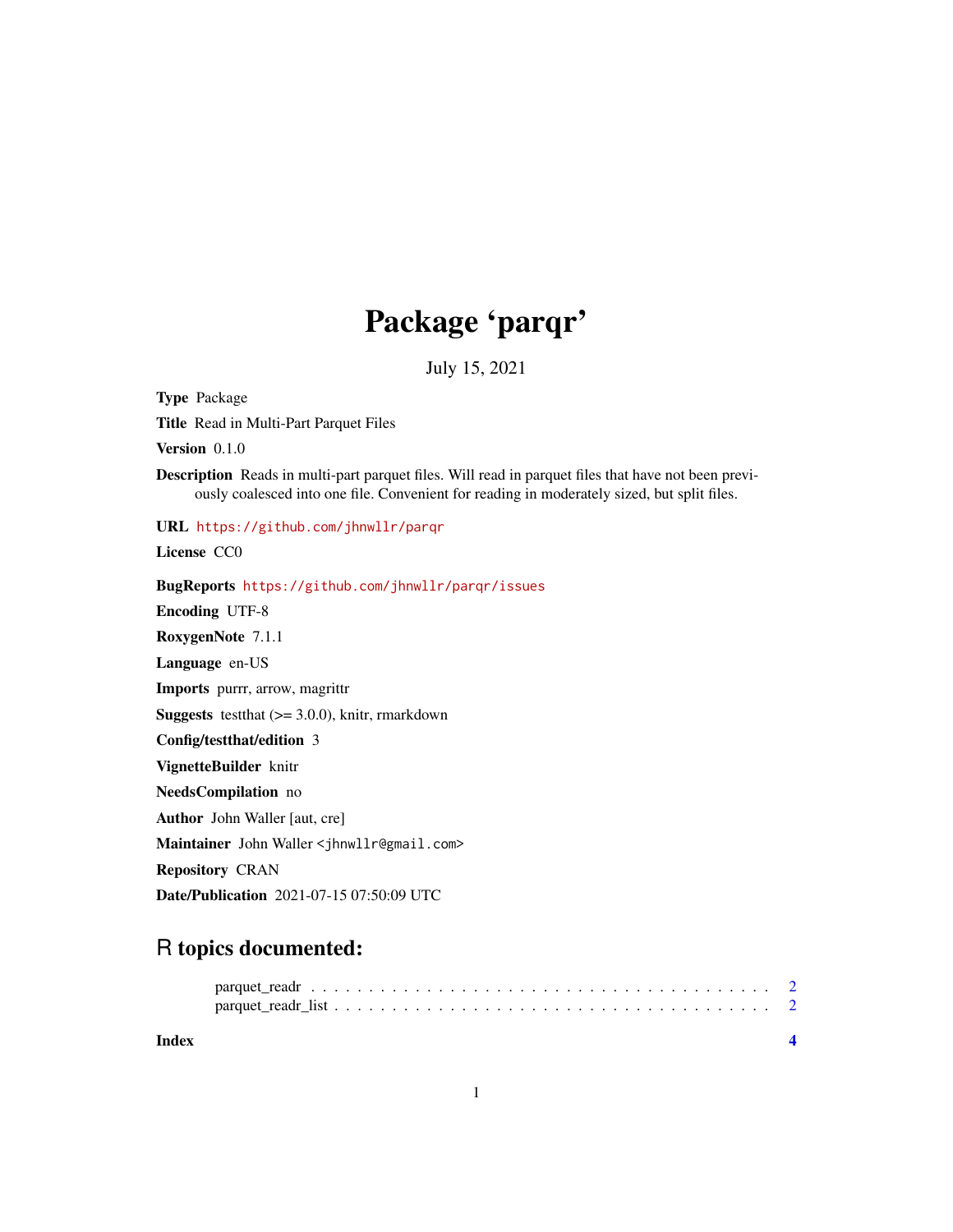## Package 'parqr'

July 15, 2021

Title Read in Multi-Part Parquet Files Version 0.1.0 Description Reads in multi-part parquet files. Will read in parquet files that have not been previously coalesced into one file. Convenient for reading in moderately sized, but split files. URL <https://github.com/jhnwllr/parqr> License CC0 BugReports <https://github.com/jhnwllr/parqr/issues> Encoding UTF-8 RoxygenNote 7.1.1 Language en-US Imports purrr, arrow, magrittr **Suggests** testthat  $(>= 3.0.0)$ , knitr, rmarkdown Config/testthat/edition 3 VignetteBuilder knitr NeedsCompilation no Author John Waller [aut, cre] Maintainer John Waller <jhnwllr@gmail.com> Repository CRAN Date/Publication 2021-07-15 07:50:09 UTC

## R topics documented:

Type Package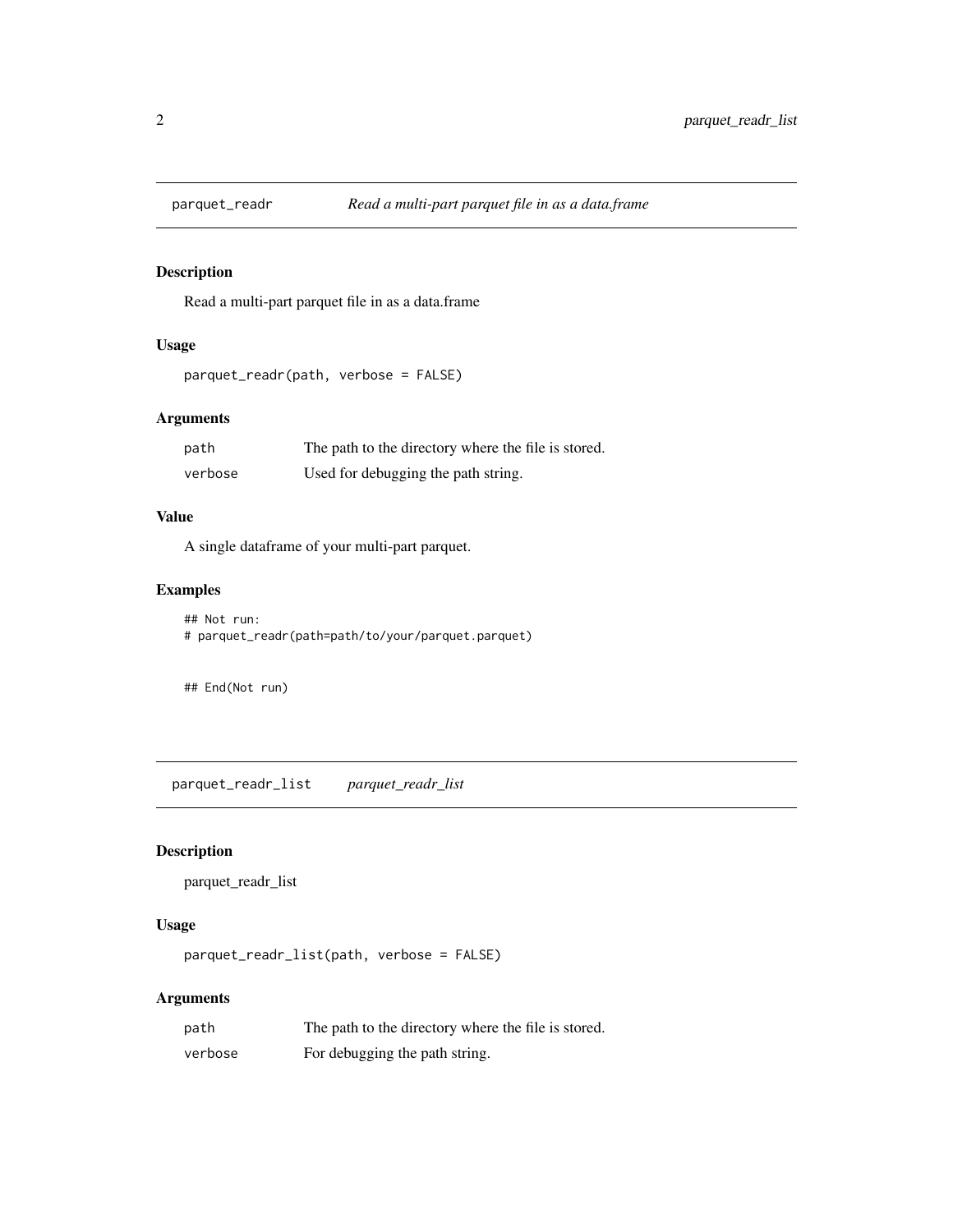<span id="page-1-0"></span>

#### Description

Read a multi-part parquet file in as a data.frame

#### Usage

```
parquet_readr(path, verbose = FALSE)
```
#### Arguments

| path    | The path to the directory where the file is stored. |
|---------|-----------------------------------------------------|
| verbose | Used for debugging the path string.                 |

#### Value

A single dataframe of your multi-part parquet.

#### Examples

```
## Not run:
# parquet_readr(path=path/to/your/parquet.parquet)
```
## End(Not run)

parquet\_readr\_list *parquet\_readr\_list*

#### Description

parquet\_readr\_list

#### Usage

parquet\_readr\_list(path, verbose = FALSE)

#### Arguments

| path    | The path to the directory where the file is stored. |
|---------|-----------------------------------------------------|
| verbose | For debugging the path string.                      |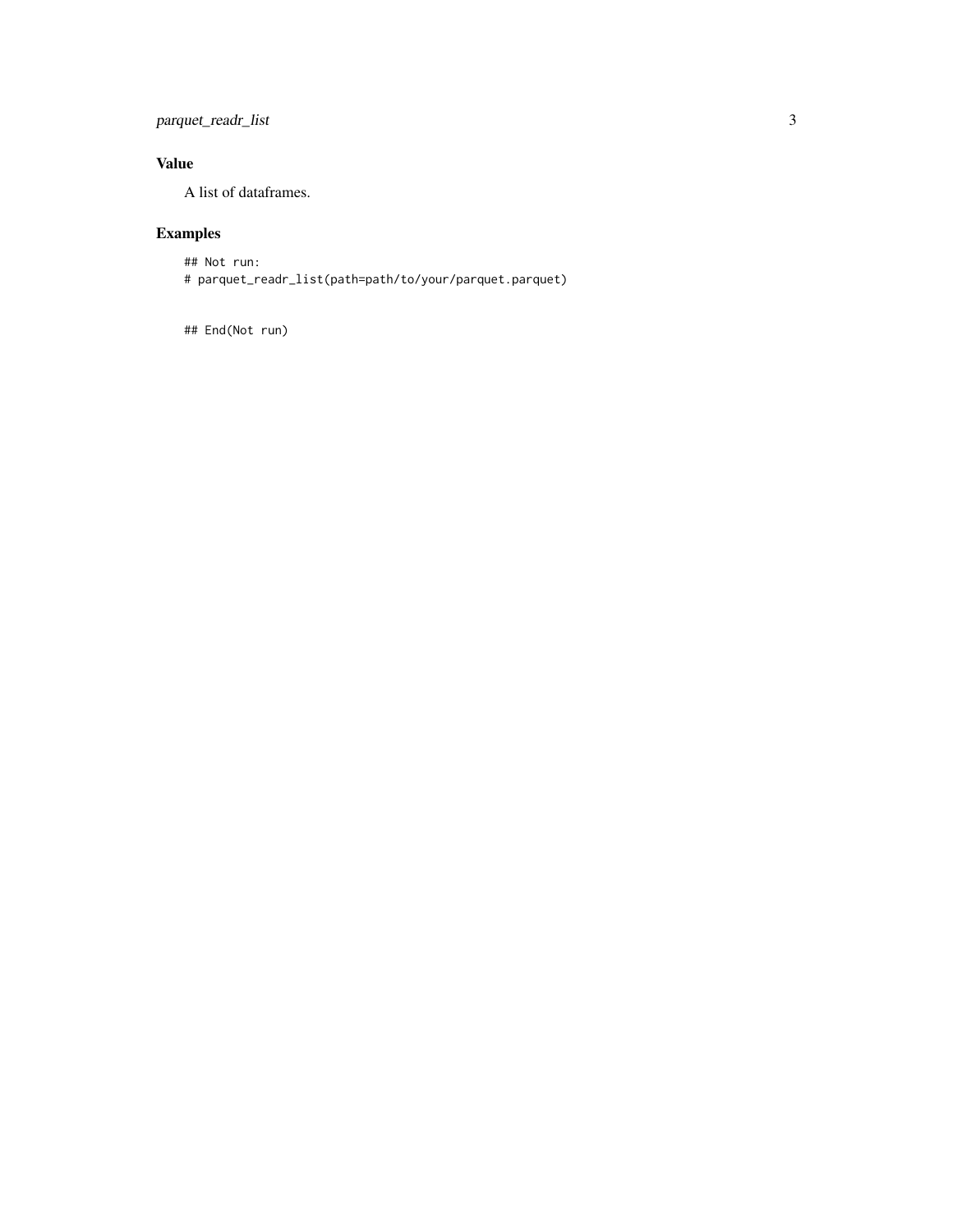#### parquet\_readr\_list 3

#### Value

A list of dataframes.

### Examples

## Not run: # parquet\_readr\_list(path=path/to/your/parquet.parquet)

## End(Not run)